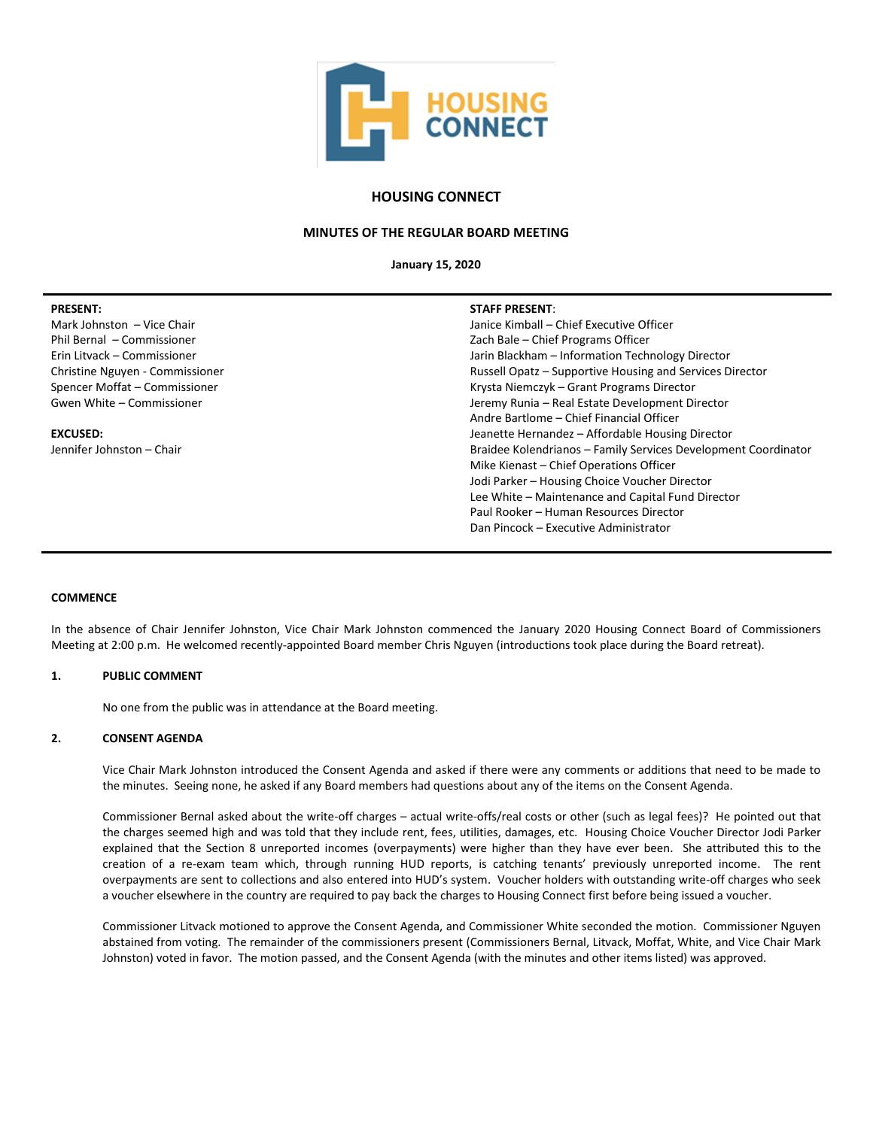

# **HOUSING CONNECT**

## **MINUTES OF THE REGULAR BOARD MEETING**

**January 15, 2020**

| <b>PRESENT:</b>                 | <b>STAFF PRESENT:</b>                                          |
|---------------------------------|----------------------------------------------------------------|
| Mark Johnston – Vice Chair      | Janice Kimball - Chief Executive Officer                       |
| Phil Bernal – Commissioner      | Zach Bale - Chief Programs Officer                             |
| Erin Litvack - Commissioner     | Jarin Blackham - Information Technology Director               |
| Christine Nguyen - Commissioner | Russell Opatz - Supportive Housing and Services Director       |
| Spencer Moffat - Commissioner   | Krysta Niemczyk – Grant Programs Director                      |
| Gwen White - Commissioner       | Jeremy Runia - Real Estate Development Director                |
|                                 | Andre Bartlome - Chief Financial Officer                       |
| <b>EXCUSED:</b>                 | Jeanette Hernandez - Affordable Housing Director               |
| Jennifer Johnston - Chair       | Braidee Kolendrianos - Family Services Development Coordinator |
|                                 | Mike Kienast - Chief Operations Officer                        |
|                                 | Jodi Parker - Housing Choice Voucher Director                  |
|                                 | Lee White - Maintenance and Capital Fund Director              |
|                                 | Paul Rooker - Human Resources Director                         |
|                                 | Dan Pincock – Executive Administrator                          |

## **COMMENCE**

In the absence of Chair Jennifer Johnston, Vice Chair Mark Johnston commenced the January 2020 Housing Connect Board of Commissioners Meeting at 2:00 p.m. He welcomed recently-appointed Board member Chris Nguyen (introductions took place during the Board retreat).

#### **1. PUBLIC COMMENT**

No one from the public was in attendance at the Board meeting.

#### **2. CONSENT AGENDA**

Vice Chair Mark Johnston introduced the Consent Agenda and asked if there were any comments or additions that need to be made to the minutes. Seeing none, he asked if any Board members had questions about any of the items on the Consent Agenda.

Commissioner Bernal asked about the write-off charges – actual write-offs/real costs or other (such as legal fees)? He pointed out that the charges seemed high and was told that they include rent, fees, utilities, damages, etc. Housing Choice Voucher Director Jodi Parker explained that the Section 8 unreported incomes (overpayments) were higher than they have ever been. She attributed this to the creation of a re-exam team which, through running HUD reports, is catching tenants' previously unreported income. The rent overpayments are sent to collections and also entered into HUD's system. Voucher holders with outstanding write-off charges who seek a voucher elsewhere in the country are required to pay back the charges to Housing Connect first before being issued a voucher.

Commissioner Litvack motioned to approve the Consent Agenda, and Commissioner White seconded the motion. Commissioner Nguyen abstained from voting. The remainder of the commissioners present (Commissioners Bernal, Litvack, Moffat, White, and Vice Chair Mark Johnston) voted in favor. The motion passed, and the Consent Agenda (with the minutes and other items listed) was approved.